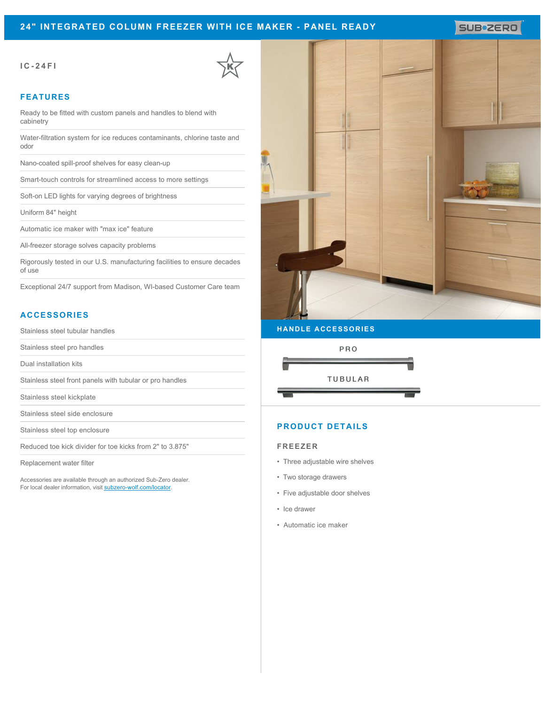# **24" INTEGRATED COLUMN FREEZER WITH ICE MAKER - PANEL READY**

SUB<sup>\*</sup>ZERO

## **IC-24FI**



## **FEATURES**

Ready to be fitted with custom panels and handles to blend with cabinetry

Water-filtration system for ice reduces contaminants, chlorine taste and odor

Nano-coated spill-proof shelves for easy clean-up

Smart-touch controls for streamlined access to more settings

Soft-on LED lights for varying degrees of brightness

Uniform 84" height

Automatic ice maker with "max ice" feature

All-freezer storage solves capacity problems

Rigorously tested in our U.S. manufacturing facilities to ensure decades of use

Exceptional 24/7 support from Madison, WI-based Customer Care team

# **ACCESSORIES**

Stainless steel tubular handles

Stainless steel pro handles

Dual installation kits

Stainless steel front panels with tubular or pro handles

Stainless steel kickplate

Stainless steel side enclosure

Stainless steel top enclosure

Reduced toe kick divider for toe kicks from 2" to 3.875"

Replacement water filter

Accessories are available through an authorized Sub-Zero dealer. For local dealer information, visit [subzero-wolf.com/locator.](http://www.subzero-wolf.com/locator)



### **HANDLE ACCESSORIES**





# **PRODUCT DETAILS**

#### **FREEZER**

- Three adjustable wire shelves
- Two storage drawers
- Five adjustable door shelves
- Ice drawer
- Automatic ice maker